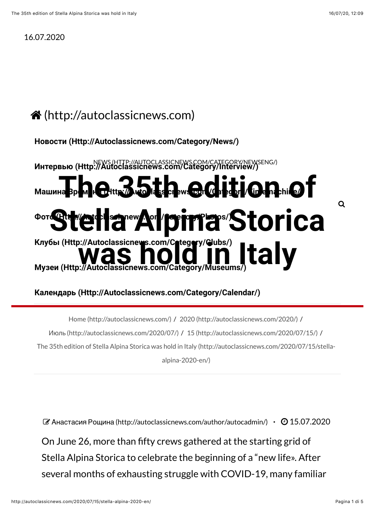## 16.07.2020

## # [\(http://autoclassicnews.com\)](http://autoclassicnews.com/)

**[Новости \(Http://Autoclassicnews.com/Category/News/\)](http://autoclassicnews.com/category/news/)**

[NEWS \(HTTP://AUTOCLASSICNEWS.COM/CATEGORY/NEWSENG/\)](http://autoclassicnews.com/category/newseng/) **[Интервью \(Http://Autoclassicnews.com/Category/Interview/\)](http://autoclassicnews.com/category/interview/) [The 35th edition o](http://autoclassicnews.com/category/timemachine/)f [Stella Alpina S](http://autoclassicnews.com/category/photos/)torica** Клубы (Http://Autoclassicne**ys.com/Crtegory/Gubs/)**<br>[Музеи \(Http://Autoclassicnews.com/Category/Museums/\)](http://autoclassicnews.com/category/museums/) Машина **Времен, uthing with the Mass crews.com/Category/Time nachine/ Фото (Http://Autoclassicnews.com/Category/Photos/) [Клубы \(Http://Autoclassicnews.com/Category/Clubs/\)](http://autoclassicnews.com/category/clubs/)**  $\alpha$ 

## **[Календарь \(Http://Autoclassicnews.com/Category/Calendar/\)](http://autoclassicnews.com/category/calendar/)**

Home (http://autoclassicnews.com/) / 2020 (http://autoclassicnews.com/2020/) / Июль (http://autoclassicnews.com/2020/07/) / 15 (http://autoclassicnews.com/2020/07/15/) / The 35th edition of Stella Alpina Storica was hold in Italy (http://autoclassicnews.com/2020/07/15/stellaalpina-2020-en/)

! Анастасия Рощина [\(http://autoclassicnews.com/author/autocadmin/\)](http://autoclassicnews.com/author/autocadmin/) **·** " 15.07.2020

On June 26, more than fifty crews gathered at the starting grid of Stella Alpina Storica to celebrate the beginning of a "new life». After several months of exhausting struggle with COVID-19, many familiar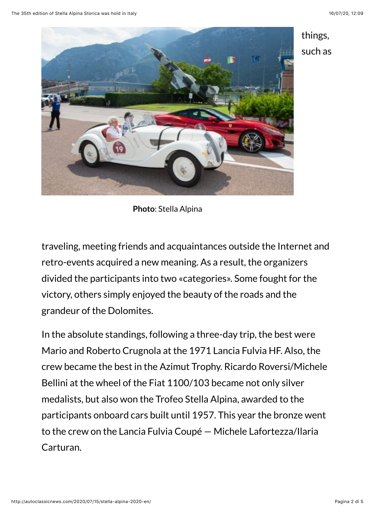

things, such as

**Photo**: Stella Alpina

traveling, meeting friends and acquaintances outside the Internet and retro-events acquired a new meaning. As a result, the organizers divided the participants into two «categories». Some fought for the victory, others simply enjoyed the beauty of the roads and the grandeur of the Dolomites.

In the absolute standings, following a three-day trip, the best were Mario and Roberto Crugnola at the 1971 Lancia Fulvia HF. Also, the crew became the best in the Azimut Trophy. Ricardo Roversi/Michele Bellini at the wheel of the Fiat 1100/103 became not only silver medalists, but also won the Trofeo Stella Alpina, awarded to the participants onboard cars built until 1957. This year the bronze went to the crew on the Lancia Fulvia Coupé — Michele Lafortezza/Ilaria Carturan.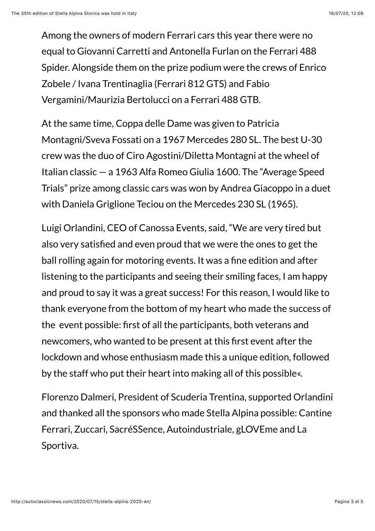Among the owners of modern Ferrari cars this year there were no equal to Giovanni Carretti and Antonella Furlan on the Ferrari 488 Spider. Alongside them on the prize podium were the crews of Enrico Zobele / Ivana Trentinaglia (Ferrari 812 GTS) and Fabio Vergamini/Maurizia Bertolucci on a Ferrari 488 GTB.

At the same time, Coppa delle Dame was given to Patricia Montagni/Sveva Fossati on a 1967 Mercedes 280 SL. The best U-30 crew was the duo of Ciro Agostini/Diletta Montagni at the wheel of Italian classic — a 1963 Alfa Romeo Giulia 1600. The "Average Speed Trials" prize among classic cars was won by Andrea Giacoppo in a duet with Daniela Griglione Teciou on the Mercedes 230 SL (1965).

Luigi Orlandini, CEO of Canossa Events, said, "We are very tired but also very satisfied and even proud that we were the ones to get the ball rolling again for motoring events. It was a fine edition and after listening to the participants and seeing their smiling faces, I am happy and proud to say it was a great success! For this reason, I would like to thank everyone from the bottom of my heart who made the success of the event possible: first of all the participants, both veterans and newcomers, who wanted to be present at this first event after the lockdown and whose enthusiasm made this a unique edition, followed by the staff who put their heart into making all of this possible«.

Florenzo Dalmeri, President of Scuderia Trentina, supported Orlandini and thanked all the sponsors who made Stella Alpina possible: Cantine Ferrari, Zuccari, SacréSSence, Autoindustriale, gLOVEme and La Sportiva.